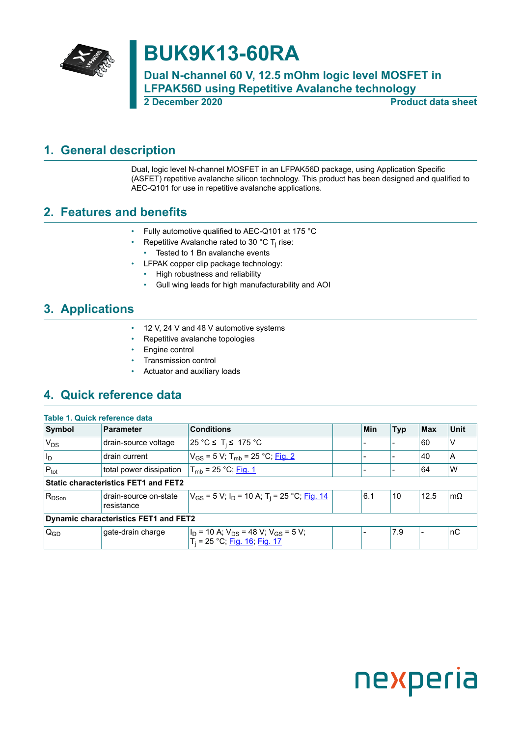

## **BUK9K13-60RA**

**Dual N-channel 60 V, 12.5 mOhm logic level MOSFET in LFPAK56D using Repetitive Avalanche technology 2 December 2020 Product data sheet**

### <span id="page-0-0"></span>**1. General description**

Dual, logic level N-channel MOSFET in an LFPAK56D package, using Application Specific (ASFET) repetitive avalanche silicon technology. This product has been designed and qualified to AEC-Q101 for use in repetitive avalanche applications.

### <span id="page-0-1"></span>**2. Features and benefits**

- Fully automotive qualified to AEC-Q101 at 175 °C
- Repetitive Avalanche rated to 30 °C T<sub>j</sub> rise:
	- Tested to 1 Bn avalanche events
- LFPAK copper clip package technology:
	- High robustness and reliability
	- Gull wing leads for high manufacturability and AOI

### <span id="page-0-2"></span>**3. Applications**

- 12 V, 24 V and 48 V automotive systems
- Repetitive avalanche topologies
- Engine control
- Transmission control
- Actuator and auxiliary loads

### <span id="page-0-3"></span>**4. Quick reference data**

| Table 1. Quick reference data                |                                             |                                                                                    |  |     |            |            |           |
|----------------------------------------------|---------------------------------------------|------------------------------------------------------------------------------------|--|-----|------------|------------|-----------|
| Symbol                                       | <b>Parameter</b>                            | <b>Conditions</b>                                                                  |  | Min | <b>Typ</b> | <b>Max</b> | Unit      |
| $V_{DS}$                                     | drain-source voltage                        | 25 °C ≤ T <sub>i</sub> ≤ 175 °C                                                    |  |     |            | 60         | ٧         |
| l <sub>D</sub>                               | drain current                               | $V_{GS}$ = 5 V; T <sub>mb</sub> = 25 °C; Fig. 2                                    |  |     |            | 40         | A         |
| $P_{\text{tot}}$                             | total power dissipation                     | $T_{\rm mb}$ = 25 °C; Fig. 1                                                       |  |     |            | 64         | W         |
|                                              | <b>Static characteristics FET1 and FET2</b> |                                                                                    |  |     |            |            |           |
| $R_{DSon}$                                   | drain-source on-state<br>resistance         | $V_{GS}$ = 5 V; $I_D$ = 10 A; T <sub>i</sub> = 25 °C; Fig. 14                      |  | 6.1 | 10         | 12.5       | $m\Omega$ |
| <b>Dynamic characteristics FET1 and FET2</b> |                                             |                                                                                    |  |     |            |            |           |
| $ Q_{GD}$                                    | gate-drain charge                           | $I_D$ = 10 A; $V_{DS}$ = 48 V; $V_{GS}$ = 5 V;<br>$T_i = 25 °C$ ; Fig. 16; Fig. 17 |  |     | 7.9        |            | nC        |

# nexperia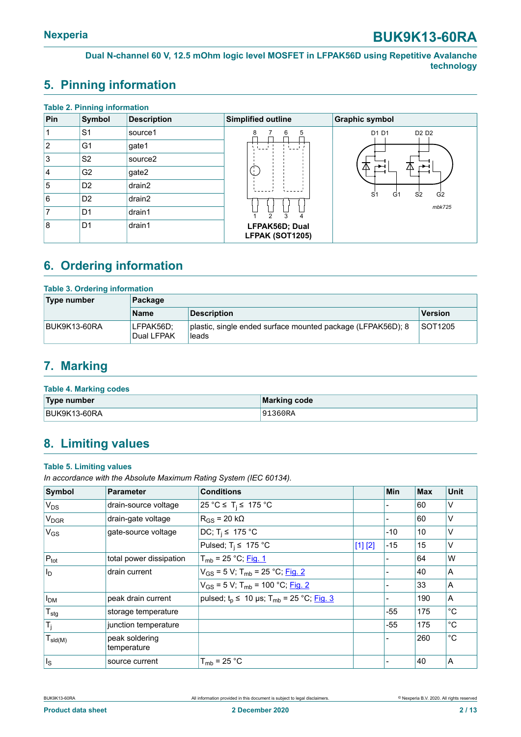### <span id="page-1-0"></span>**5. Pinning information**

| <b>Table 2. Pinning information</b> |                |                     |                                   |                                                                      |  |  |  |
|-------------------------------------|----------------|---------------------|-----------------------------------|----------------------------------------------------------------------|--|--|--|
| Pin                                 | Symbol         | <b>Description</b>  | Simplified outline                | <b>Graphic symbol</b>                                                |  |  |  |
|                                     | S <sub>1</sub> | source1             | 5<br>8<br>6                       | D1 D1<br>D <sub>2</sub> D <sub>2</sub>                               |  |  |  |
| $\overline{2}$                      | G <sub>1</sub> | gate1               |                                   |                                                                      |  |  |  |
| 3                                   | S <sub>2</sub> | source <sub>2</sub> |                                   |                                                                      |  |  |  |
| 14                                  | G <sub>2</sub> | gate2               | Œ                                 | ∧<br>⇁<br>/I\<br>∽                                                   |  |  |  |
| 5                                   | D <sub>2</sub> | drain2              |                                   |                                                                      |  |  |  |
| 6                                   | D <sub>2</sub> | drain2              |                                   | S <sub>1</sub><br>S <sub>2</sub><br>G <sub>2</sub><br>G <sub>1</sub> |  |  |  |
| 7                                   | D <sub>1</sub> | drain1              | $\mathfrak{D}$<br>3<br>4          | mbk725                                                               |  |  |  |
| 8                                   | D <sub>1</sub> | drain1              | LFPAK56D; Dual<br>LFPAK (SOT1205) |                                                                      |  |  |  |

### <span id="page-1-1"></span>**6. Ordering information**

| <b>Table 3. Ordering information</b> |                         |                                                                      |                |  |  |  |
|--------------------------------------|-------------------------|----------------------------------------------------------------------|----------------|--|--|--|
| Type number                          | Package                 |                                                                      |                |  |  |  |
|                                      | <b>Name</b>             | Description                                                          | <b>Version</b> |  |  |  |
| BUK9K13-60RA                         | LFPAK56D:<br>Dual LFPAK | plastic, single ended surface mounted package (LFPAK56D); 8<br>leads | <b>SOT1205</b> |  |  |  |

### <span id="page-1-2"></span>**7. Marking**

| <b>Table 4. Marking codes</b> |              |  |  |  |  |  |
|-------------------------------|--------------|--|--|--|--|--|
| Type number                   | Marking code |  |  |  |  |  |
| BUK9K13-60RA                  | 191360RA     |  |  |  |  |  |

### <span id="page-1-3"></span>**8. Limiting values**

#### **Table 5. Limiting values**

*In accordance with the Absolute Maximum Rating System (IEC 60134).*

| Symbol                       | <b>Parameter</b>              | <b>Conditions</b>                                      |         | Min   | <b>Max</b> | <b>Unit</b>  |
|------------------------------|-------------------------------|--------------------------------------------------------|---------|-------|------------|--------------|
| $V_{DS}$                     | drain-source voltage          | 25 °C ≤ T <sub>i</sub> ≤ 175 °C                        |         |       | 60         | V            |
| <b>V<sub>DGR</sub></b>       | drain-gate voltage            | $R_{GS}$ = 20 k $\Omega$                               |         |       | 60         | $\vee$       |
| $V_{GS}$                     | gate-source voltage           | DC; $T_i \leq 175$ °C                                  |         | -10   | 10         | V            |
|                              |                               | Pulsed; $T_i \leq 175$ °C                              | [1] [2] | $-15$ | 15         | $\vee$       |
| $P_{\text{tot}}$             | total power dissipation       | $T_{\rm mb}$ = 25 °C; Fig. 1                           |         |       | 64         | W            |
| $ I_{\mathsf{D}}$            | drain current                 | $V_{GS}$ = 5 V; T <sub>mb</sub> = 25 °C; Fig. 2        |         |       | 40         | A            |
|                              |                               | $V_{GS}$ = 5 V; T <sub>mb</sub> = 100 °C; Fig. 2       |         |       | 33         | A            |
| I <sub>DM</sub>              | peak drain current            | pulsed; $t_p$ ≤ 10 µs; T <sub>mb</sub> = 25 °C; Fig. 3 |         |       | 190        | A            |
| $T_{\text{stg}}$             | storage temperature           |                                                        |         | $-55$ | 175        | $^{\circ}C$  |
| $T_j$                        | junction temperature          |                                                        |         | -55   | 175        | °C           |
| $T_{\text{sld(M)}}$          | peak soldering<br>temperature |                                                        |         |       | 260        | $^{\circ}$ C |
| $\vert$ $\vert$ <sub>S</sub> | source current                | $T_{mb}$ = 25 °C                                       |         |       | 40         | ΙA           |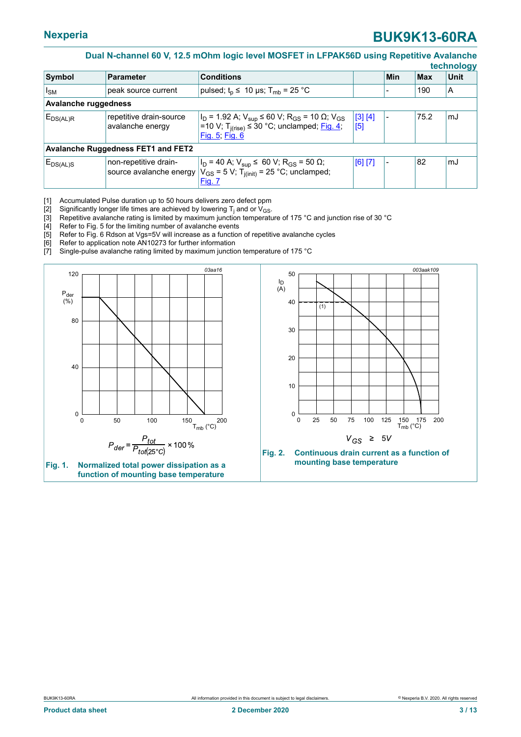#### <span id="page-2-2"></span>**Dual N-channel 60 V, 12.5 mOhm logic level MOSFET in LFPAK56D using Repetitive Avalanche**

|                                           |                                                  |                                                                                                                                                                                   |                |     |            | technology  |
|-------------------------------------------|--------------------------------------------------|-----------------------------------------------------------------------------------------------------------------------------------------------------------------------------------|----------------|-----|------------|-------------|
| Symbol                                    | <b>Parameter</b>                                 | <b>Conditions</b>                                                                                                                                                                 |                | Min | <b>Max</b> | <b>Unit</b> |
| $I_{SM}$                                  | peak source current                              | pulsed; $t_{p} \leq 10$ µs; $T_{mb} = 25$ °C                                                                                                                                      |                |     | 190        | ΙA          |
| <b>Avalanche ruggedness</b>               |                                                  |                                                                                                                                                                                   |                |     |            |             |
| $E_{DS(AL)R}$                             | repetitive drain-source<br>avalanche energy      | $ I_D = 1.92$ A; $V_{\text{sup}} \le 60$ V; R <sub>GS</sub> = 10 $\Omega$ ; V <sub>GS</sub><br>l=10 V; T <sub>i(rise)</sub> ≤ 30 °C; unclamped; <u>Fig. 4</u> ;<br>Fig. 5; Fig. 6 | [3] [4]<br>[5] |     | 75.2       | mJ          |
| <b>Avalanche Ruggedness FET1 and FET2</b> |                                                  |                                                                                                                                                                                   |                |     |            |             |
| $E_{DS(AL)S}$                             | non-repetitive drain-<br>source avalanche energy | $ I_D = 40 A; V_{\text{sup}} \le 60 V; R_{GS} = 50 \Omega;$<br>$V_{GS}$ = 5 V; T <sub>j(init)</sub> = 25 °C; unclamped;<br><b>Fig. 7</b>                                          | [6] [7]        |     | 82         | mJ          |

[1] Accumulated Pulse duration up to 50 hours delivers zero defect ppm

[2]  $\;$  Significantly longer life times are achieved by lowering  ${\mathsf T}_{\mathsf j}$  and or  ${\mathsf V}_{\mathsf{GS}}$ .

[3]  $\,$  Repetitive avalanche rating is limited by maximum junction temperature of 175 °C and junction rise of 30 °C  $\,$ 

[4] Refer to Fig. 5 for the limiting number of avalanche events<br>[5] Refer to Fig. 6 Rdson at Vgs=5V will increase as a function [5] Refer to Fig. 6 Rdson at Vgs=5V will increase as a function of repetitive avalanche cycles  $[6]$  Refer to application note AN10273 for further information

<span id="page-2-0"></span>Refer to application note AN10273 for further information

[7] Single-pulse avalanche rating limited by maximum junction temperature of 175 °C

<span id="page-2-1"></span>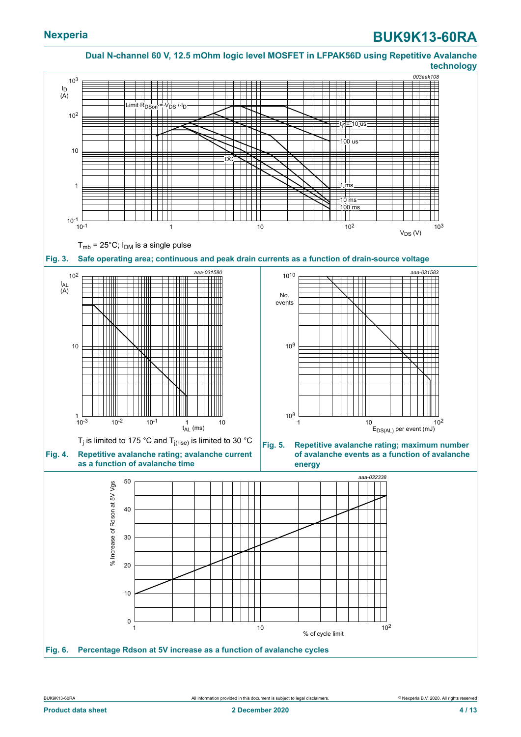<span id="page-3-2"></span>

<span id="page-3-3"></span><span id="page-3-1"></span><span id="page-3-0"></span>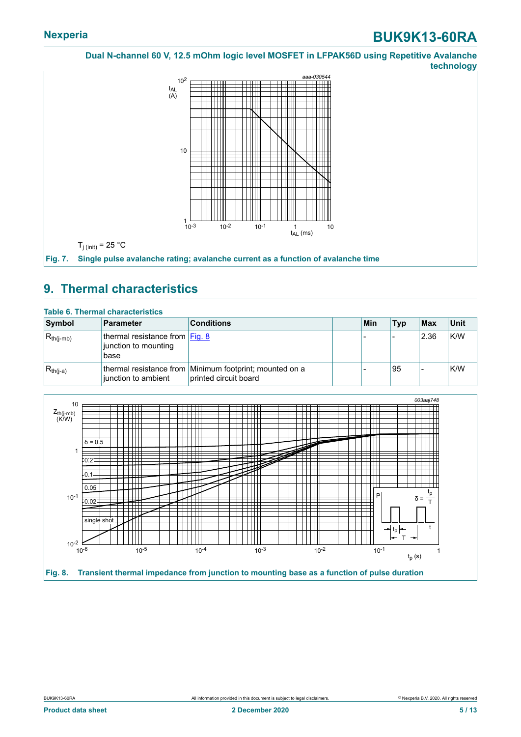<span id="page-4-0"></span>

### <span id="page-4-2"></span>**9. Thermal characteristics**

| Symbol         | <b>Parameter</b>                                                   | <b>Conditions</b>                                                                | Min | <b>Typ</b> | <b>Max</b> | $ $ Unit |
|----------------|--------------------------------------------------------------------|----------------------------------------------------------------------------------|-----|------------|------------|----------|
| $R_{th(i-mb)}$ | thermal resistance from $ Fig. 8 $<br>junction to mounting<br>base |                                                                                  |     |            | 2.36       | K/W      |
| $R_{th(i-a)}$  | junction to ambient                                                | thermal resistance from Minimum footprint; mounted on a<br>printed circuit board |     | 95         |            | K/W      |

<span id="page-4-1"></span>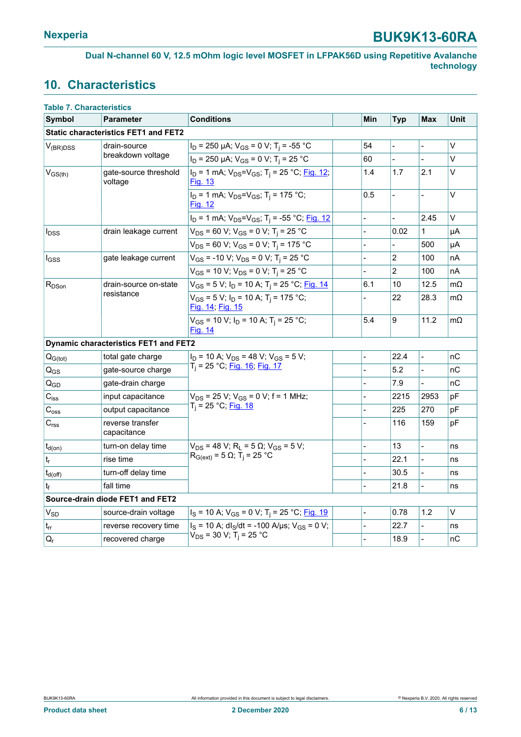### <span id="page-5-0"></span>**10. Characteristics**

| <b>Table 7. Characteristics</b> |                                              |                                                                                     |                |                |                          |           |
|---------------------------------|----------------------------------------------|-------------------------------------------------------------------------------------|----------------|----------------|--------------------------|-----------|
| <b>Symbol</b>                   | <b>Parameter</b>                             | <b>Conditions</b>                                                                   | Min            | <b>Typ</b>     | Max                      | Unit      |
|                                 | <b>Static characteristics FET1 and FET2</b>  |                                                                                     |                |                |                          |           |
| $V_{(BR)DSS}$                   | drain-source                                 | $I_D$ = 250 µA; $V_{GS}$ = 0 V; T <sub>i</sub> = -55 °C                             | 54             |                |                          | $\vee$    |
|                                 | breakdown voltage                            | $I_D$ = 250 µA; $V_{GS}$ = 0 V; T <sub>i</sub> = 25 °C                              | 60             |                |                          | V         |
| $V_{GS(th)}$                    | gate-source threshold<br>voltage             | $I_D$ = 1 mA; $V_{DS} = V_{GS}$ ; T <sub>i</sub> = 25 °C; Fig. 12;<br>Fig. 13       | 1.4            | 1.7            | 2.1                      | V         |
|                                 |                                              | $I_D = 1$ mA; $V_{DS} = V_{GS}$ ; T <sub>i</sub> = 175 °C;<br><b>Fig. 12</b>        | 0.5            | $\overline{a}$ |                          | V         |
|                                 |                                              | $I_D$ = 1 mA; $V_{DS} = V_{GS}$ ; T <sub>i</sub> = -55 °C; Fig. 12                  | $\overline{a}$ |                | 2.45                     | $\vee$    |
| <b>I</b> <sub>DSS</sub>         | drain leakage current                        | $V_{DS}$ = 60 V; V <sub>GS</sub> = 0 V; T <sub>i</sub> = 25 °C                      |                | 0.02           | 1                        | μA        |
|                                 |                                              | $V_{DS}$ = 60 V; V <sub>GS</sub> = 0 V; T <sub>i</sub> = 175 °C                     |                |                | 500                      | μA        |
| $I_{GSS}$                       | gate leakage current                         | $V_{GS}$ = -10 V; $V_{DS}$ = 0 V; T <sub>i</sub> = 25 °C                            |                | $\overline{c}$ | 100                      | nA        |
|                                 |                                              | $V_{GS}$ = 10 V; $V_{DS}$ = 0 V; T <sub>i</sub> = 25 °C                             |                | $\overline{2}$ | 100                      | nA        |
| $R_{DSon}$<br>resistance        | drain-source on-state                        | $V_{GS}$ = 5 V; I <sub>D</sub> = 10 A; T <sub>i</sub> = 25 °C; Fig. 14              | 6.1            | 10             | 12.5                     | $m\Omega$ |
|                                 |                                              | $V_{GS}$ = 5 V; I <sub>D</sub> = 10 A; T <sub>i</sub> = 175 °C;<br>Fig. 14, Fig. 15 |                | 22             | 28.3                     | $m\Omega$ |
|                                 |                                              | $V_{GS}$ = 10 V; $I_D$ = 10 A; T <sub>i</sub> = 25 °C;<br><b>Fig. 14</b>            | 5.4            | 9              | 11.2                     | $m\Omega$ |
|                                 | <b>Dynamic characteristics FET1 and FET2</b> |                                                                                     |                |                |                          |           |
| $Q_{G(tot)}$                    | total gate charge                            | $I_D$ = 10 A; $V_{DS}$ = 48 V; V <sub>GS</sub> = 5 V;                               |                | 22.4           | $\overline{\phantom{0}}$ | nC        |
| $Q_{GS}$                        | gate-source charge                           | T <sub>i</sub> = 25 °C; <u>Fig. 16; Fig. 17</u>                                     |                | 5.2            |                          | nC        |
| $Q_{GD}$                        | gate-drain charge                            |                                                                                     |                | 7.9            |                          | nC        |
| $C_{\text{iss}}$                | input capacitance                            | $V_{DS}$ = 25 V; $V_{GS}$ = 0 V; f = 1 MHz;                                         |                | 2215           | 2953                     | pF        |
| $\mathrm{C}_{\mathrm{oss}}$     | output capacitance                           | $T_i = 25 °C;$ Fig. 18                                                              |                | 225            | 270                      | pF        |
| C <sub>rss</sub>                | reverse transfer<br>capacitance              |                                                                                     |                | 116            | 159                      | pF        |
| $t_{d(on)}$                     | turn-on delay time                           | $V_{DS}$ = 48 V; R <sub>L</sub> = 5 $\Omega$ ; V <sub>GS</sub> = 5 V;               | $\overline{a}$ | 13             | $\blacksquare$           | ns        |
| $\mathsf{t}_\mathsf{r}$         | rise time                                    | $R_{G(ext)} = 5 Ω; Tj = 25 °C$                                                      |                | 22.1           |                          | ns        |
| $t_{d(\text{off})}$             | turn-off delay time                          |                                                                                     | $\overline{a}$ | 30.5           |                          | ns        |
| tғ                              | fall time                                    |                                                                                     |                | 21.8           | $\overline{a}$           | ns        |
|                                 | Source-drain diode FET1 and FET2             |                                                                                     |                |                |                          |           |
| <b>V<sub>SD</sub></b>           | source-drain voltage                         | $I_S$ = 10 A; $V_{GS}$ = 0 V; T <sub>i</sub> = 25 °C; Fig. 19                       |                | 0.78           | 1.2                      | V         |
| $t_{rr}$                        | reverse recovery time                        | $I_S = 10$ A; dl <sub>S</sub> /dt = -100 A/µs; V <sub>GS</sub> = 0 V;               | $\overline{a}$ | 22.7           |                          | ns        |
| $Q_{r}$                         | recovered charge                             | $V_{DS}$ = 30 V; T <sub>i</sub> = 25 °C                                             |                | 18.9           |                          | пC        |
|                                 |                                              |                                                                                     |                |                |                          |           |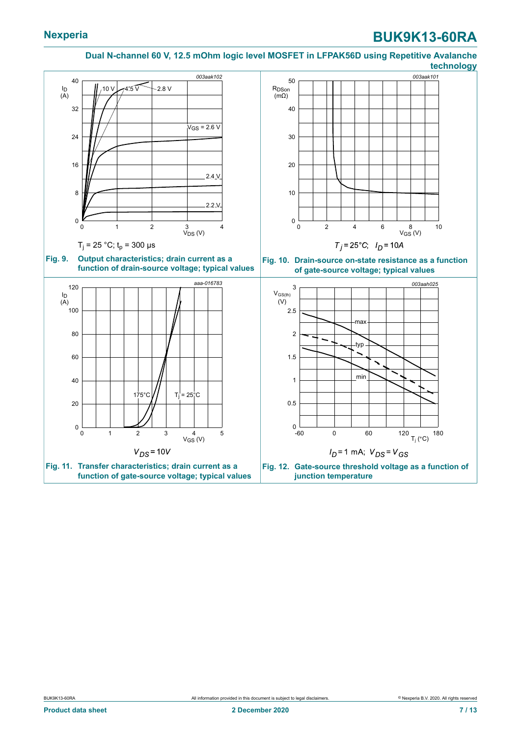#### <span id="page-6-0"></span>**Dual N-channel 60 V, 12.5 mOhm logic level MOSFET in LFPAK56D using Repetitive Avalanche technology**

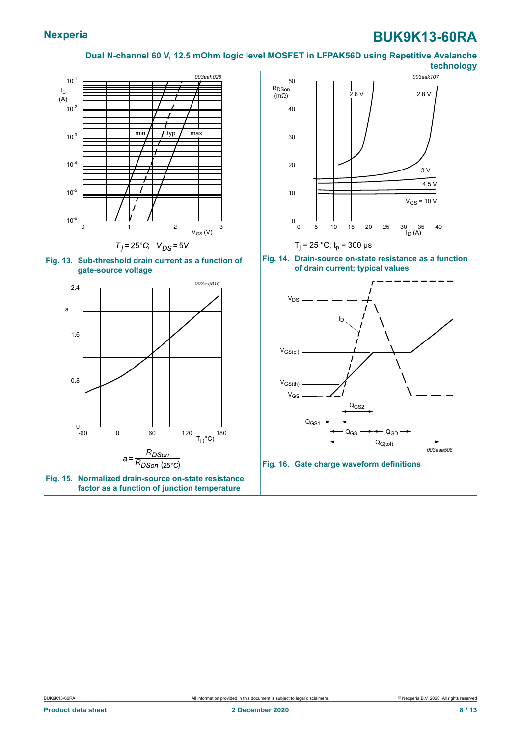#### <span id="page-7-1"></span><span id="page-7-0"></span>**Dual N-channel 60 V, 12.5 mOhm logic level MOSFET in LFPAK56D using Repetitive Avalanche technology**

<span id="page-7-3"></span><span id="page-7-2"></span>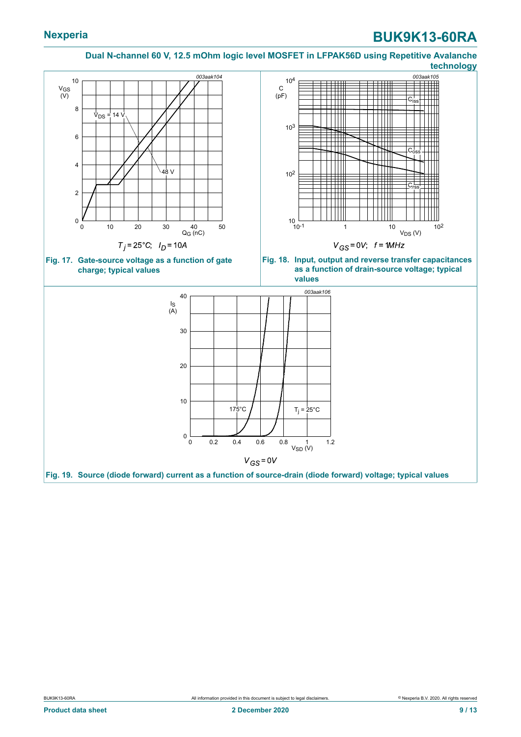#### <span id="page-8-1"></span>**Dual N-channel 60 V, 12.5 mOhm logic level MOSFET in LFPAK56D using Repetitive Avalanche technology**

<span id="page-8-2"></span><span id="page-8-0"></span>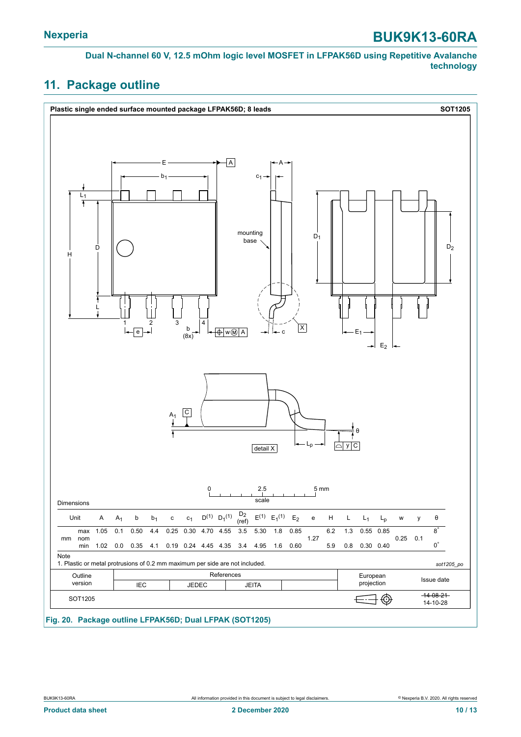**Dual N-channel 60 V, 12.5 mOhm logic level MOSFET in LFPAK56D using Repetitive Avalanche technology**

### <span id="page-9-0"></span>**11. Package outline**

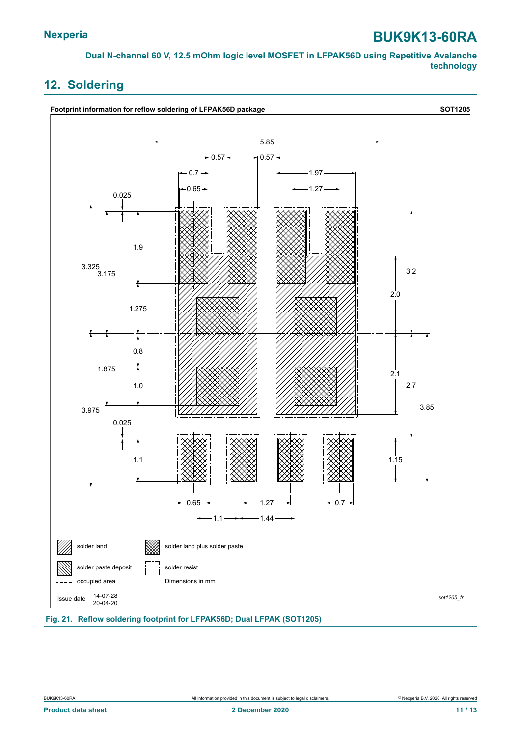**Dual N-channel 60 V, 12.5 mOhm logic level MOSFET in LFPAK56D using Repetitive Avalanche technology**

### <span id="page-10-0"></span>**12. Soldering**

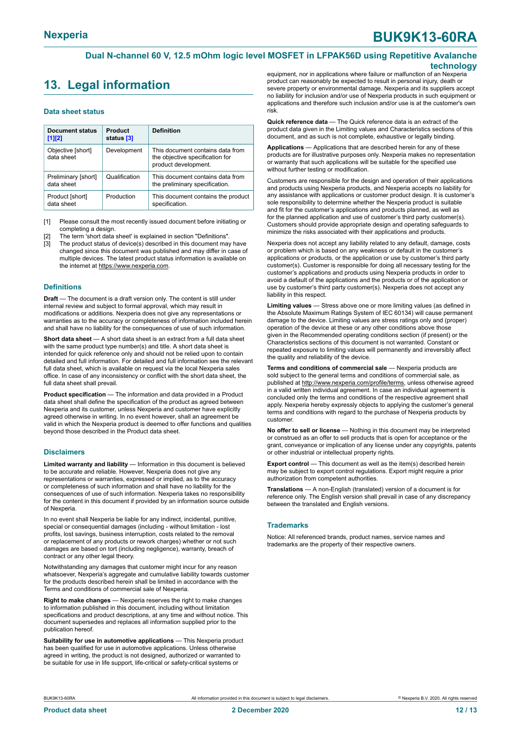### <span id="page-11-0"></span>**13. Legal information**

#### **Data sheet status**

| <b>Document status</b><br>$[1]$ [2] | Product<br>status [3] | <b>Definition</b>                                                                           |
|-------------------------------------|-----------------------|---------------------------------------------------------------------------------------------|
| Objective [short]<br>data sheet     | Development           | This document contains data from<br>the objective specification for<br>product development. |
| Preliminary [short]<br>data sheet   | Qualification         | This document contains data from<br>the preliminary specification.                          |
| Product [short]<br>data sheet       | Production            | This document contains the product<br>specification.                                        |

[1] Please consult the most recently issued document before initiating or completing a design.

The term 'short data sheet' is explained in section "Definitions".

[3] The product status of device(s) described in this document may have changed since this document was published and may differ in case of multiple devices. The latest product status information is available on the internet at [https://www.nexperia.com.](https://www.nexperia.com)

#### **Definitions**

**Draft** — The document is a draft version only. The content is still under internal review and subject to formal approval, which may result in modifications or additions. Nexperia does not give any representations or warranties as to the accuracy or completeness of information included herein and shall have no liability for the consequences of use of such information.

**Short data sheet** — A short data sheet is an extract from a full data sheet with the same product type number(s) and title. A short data sheet is intended for quick reference only and should not be relied upon to contain detailed and full information. For detailed and full information see the relevant full data sheet, which is available on request via the local Nexperia sales office. In case of any inconsistency or conflict with the short data sheet, the full data sheet shall prevail.

**Product specification** — The information and data provided in a Product data sheet shall define the specification of the product as agreed between Nexperia and its customer, unless Nexperia and customer have explicitly agreed otherwise in writing. In no event however, shall an agreement be valid in which the Nexperia product is deemed to offer functions and qualities beyond those described in the Product data sheet.

#### **Disclaimers**

**Limited warranty and liability** — Information in this document is believed to be accurate and reliable. However, Nexperia does not give any representations or warranties, expressed or implied, as to the accuracy or completeness of such information and shall have no liability for the consequences of use of such information. Nexperia takes no responsibility for the content in this document if provided by an information source outside of Nexperia.

In no event shall Nexperia be liable for any indirect, incidental, punitive, special or consequential damages (including - without limitation - lost profits, lost savings, business interruption, costs related to the removal or replacement of any products or rework charges) whether or not such damages are based on tort (including negligence), warranty, breach of contract or any other legal theory.

Notwithstanding any damages that customer might incur for any reason whatsoever, Nexperia's aggregate and cumulative liability towards customer for the products described herein shall be limited in accordance with the Terms and conditions of commercial sale of Nexperia.

**Right to make changes** — Nexperia reserves the right to make changes to information published in this document, including without limitation specifications and product descriptions, at any time and without notice. This document supersedes and replaces all information supplied prior to the publication hereof

**Suitability for use in automotive applications** — This Nexperia product has been qualified for use in automotive applications. Unless otherwise agreed in writing, the product is not designed, authorized or warranted to be suitable for use in life support, life-critical or safety-critical systems or

equipment, nor in applications where failure or malfunction of an Nexperia product can reasonably be expected to result in personal injury, death or severe property or environmental damage. Nexperia and its suppliers accept no liability for inclusion and/or use of Nexperia products in such equipment or applications and therefore such inclusion and/or use is at the customer's own risk.

**Quick reference data** — The Quick reference data is an extract of the product data given in the Limiting values and Characteristics sections of this document, and as such is not complete, exhaustive or legally binding.

**Applications** — Applications that are described herein for any of these products are for illustrative purposes only. Nexperia makes no representation or warranty that such applications will be suitable for the specified use without further testing or modification.

Customers are responsible for the design and operation of their applications and products using Nexperia products, and Nexperia accepts no liability for any assistance with applications or customer product design. It is customer's sole responsibility to determine whether the Nexperia product is suitable and fit for the customer's applications and products planned, as well as for the planned application and use of customer's third party customer(s). Customers should provide appropriate design and operating safeguards to minimize the risks associated with their applications and products.

Nexperia does not accept any liability related to any default, damage, costs or problem which is based on any weakness or default in the customer's applications or products, or the application or use by customer's third party customer(s). Customer is responsible for doing all necessary testing for the customer's applications and products using Nexperia products in order to avoid a default of the applications and the products or of the application or use by customer's third party customer(s). Nexperia does not accept any liability in this respect.

**Limiting values** — Stress above one or more limiting values (as defined in the Absolute Maximum Ratings System of IEC 60134) will cause permanent damage to the device. Limiting values are stress ratings only and (proper) operation of the device at these or any other conditions above those given in the Recommended operating conditions section (if present) or the Characteristics sections of this document is not warranted. Constant or repeated exposure to limiting values will permanently and irreversibly affect the quality and reliability of the device.

**Terms and conditions of commercial sale** — Nexperia products are sold subject to the general terms and conditions of commercial sale, as published at [http://www.nexperia.com/profile/terms,](http://www.nexperia.com/profile/terms) unless otherwise agreed in a valid written individual agreement. In case an individual agreement is concluded only the terms and conditions of the respective agreement shall apply. Nexperia hereby expressly objects to applying the customer's general terms and conditions with regard to the purchase of Nexperia products by customer.

**No offer to sell or license** — Nothing in this document may be interpreted or construed as an offer to sell products that is open for acceptance or the grant, conveyance or implication of any license under any copyrights, patents or other industrial or intellectual property rights.

**Export control** — This document as well as the item(s) described herein may be subject to export control regulations. Export might require a prior authorization from competent authorities.

**Translations** — A non-English (translated) version of a document is for reference only. The English version shall prevail in case of any discrepancy between the translated and English versions.

#### **Trademarks**

Notice: All referenced brands, product names, service names and trademarks are the property of their respective owners.